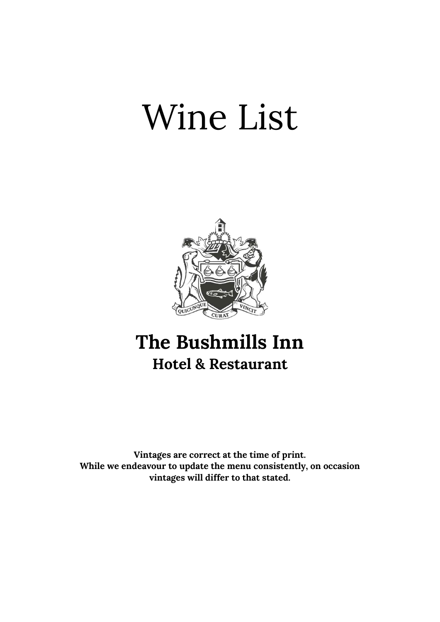# Wine List



## The Bushmills Inn Hotel & Restaurant

Vintages are correct at the time of print. While we endeavour to update the menu consistently, on occasion vintages will differ to that stated.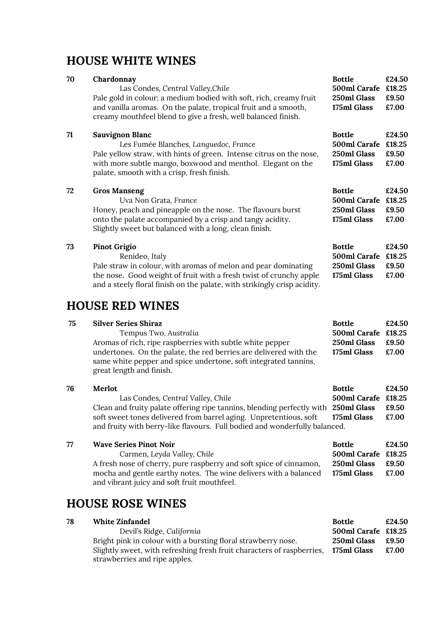## HOUSE WHITE WINES

| 70 | Chardonnay<br>Las Condes, Central Valley, Chile<br>Pale gold in colour; a medium bodied with soft, rich, creamy fruit<br>and vanilla aromas. On the palate, tropical fruit and a smooth,<br>creamy mouthfeel blend to give a fresh, well balanced finish. | <b>Bottle</b><br>500ml Carafe £18.25<br>250ml Glass<br>175ml Glass | £24.50<br>£9.50<br>£7.00           |
|----|-----------------------------------------------------------------------------------------------------------------------------------------------------------------------------------------------------------------------------------------------------------|--------------------------------------------------------------------|------------------------------------|
| 71 | Sauvignon Blanc<br>Les Fumée Blanches, Languedoc, France<br>Pale yellow straw, with hints of green. Intense citrus on the nose,<br>with more subtle mango, boxwood and menthol. Elegant on the<br>palate, smooth with a crisp, fresh finish.              | <b>Bottle</b><br>500ml Carafe<br>250ml Glass<br>175ml Glass        | £24.50<br>£18.25<br>£9.50<br>£7.00 |
| 72 | <b>Gros Manseng</b><br>Uva Non Grata, France<br>Honey, peach and pineapple on the nose. The flavours burst<br>onto the palate accompanied by a crisp and tangy acidity.<br>Slightly sweet but balanced with a long, clean finish.                         | <b>Bottle</b><br>500ml Carafe<br>250ml Glass<br>175ml Glass        | £24.50<br>£18.25<br>£9.50<br>£7.00 |
| 73 | <b>Pinot Grigio</b><br>Renideo, Italy<br>Pale straw in colour, with aromas of melon and pear dominating<br>the nose. Good weight of fruit with a fresh twist of crunchy apple<br>and a steely floral finish on the palate, with strikingly crisp acidity. | <b>Bottle</b><br>500ml Carafe £18.25<br>250ml Glass<br>175ml Glass | £24.50<br>£9.50<br>£7.00           |
|    | <b>HOUSE RED WINES</b>                                                                                                                                                                                                                                    |                                                                    |                                    |

| 75 | <b>Silver Series Shiraz</b>                                                                                                                                      | <b>Bottle</b>       | £24.50 |
|----|------------------------------------------------------------------------------------------------------------------------------------------------------------------|---------------------|--------|
|    | Tempus Two, Australia                                                                                                                                            | 500ml Carafe £18.25 |        |
|    | Aromas of rich, ripe raspberries with subtle white pepper                                                                                                        | 250ml Glass         | £9.50  |
|    | undertones. On the palate, the red berries are delivered with the<br>same white pepper and spice undertone, soft integrated tannins,<br>great length and finish. | 175ml Glass         | £7.00  |

| 76 | Merlot                                                                             | <b>Bottle</b>       | £24.50 |
|----|------------------------------------------------------------------------------------|---------------------|--------|
|    | Las Condes, Central Valley, Chile                                                  | 500ml Carafe £18.25 |        |
|    | Clean and fruity palate offering ripe tannins, blending perfectly with 250ml Glass |                     | £9.50  |
|    | soft sweet tones delivered from barrel aging. Unpretentious, soft 175ml Glass      |                     | £7.00  |
|    | and fruity with berry-like flavours. Full bodied and wonderfully balanced.         |                     |        |

| 77 | <b>Wave Series Pinot Noir</b>                                      | <b>Bottle</b>        | £24.50 |
|----|--------------------------------------------------------------------|----------------------|--------|
|    | Carmen, Leyda Valley, Chile                                        | 500ml Carafe £18.25  |        |
|    | A fresh nose of cherry, pure raspberry and soft spice of cinnamon, | $250$ ml Glass £9.50 |        |
|    | mocha and gentle earthy notes. The wine delivers with a balanced   | 175ml Glass          | £7.00  |
|    | and vibrant juicy and soft fruit mouthfeel.                        |                      |        |

## HOUSE ROSE WINES

| 78 | White Zinfandel                                                        | <b>Bottle</b>       | £24.50 |
|----|------------------------------------------------------------------------|---------------------|--------|
|    | Devil's Ridge, California                                              | 500ml Carafe £18.25 |        |
|    | Bright pink in colour with a bursting floral strawberry nose.          | 250ml Glass         | £9.50  |
|    | Slightly sweet, with refreshing fresh fruit characters of raspberries, | 175ml Glass         | £7.00  |
|    | strawberries and ripe apples.                                          |                     |        |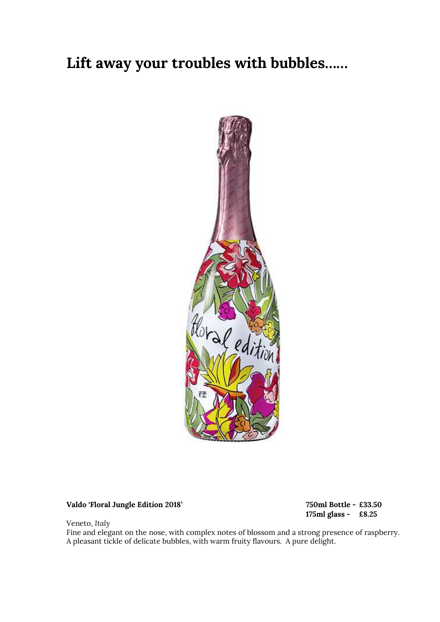## Lift away your troubles with bubbles……



### Valdo 'Floral Jungle Edition 2018' 750ml Bottle - £33.50

175ml glass - £8.25

Veneto, Italy

Fine and elegant on the nose, with complex notes of blossom and a strong presence of raspberry. A pleasant tickle of delicate bubbles, with warm fruity flavours. A pure delight.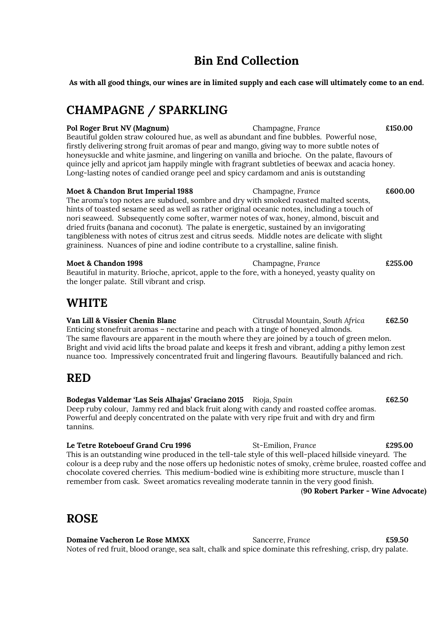## Bin End Collection

As with all good things, our wines are in limited supply and each case will ultimately come to an end.

## CHAMPAGNE / SPARKLING

Pol Roger Brut NV (Magnum) Champagne, France £150.00 Beautiful golden straw coloured hue, as well as abundant and fine bubbles. Powerful nose, firstly delivering strong fruit aromas of pear and mango, giving way to more subtle notes of honeysuckle and white jasmine, and lingering on vanilla and brioche. On the palate, flavours of quince jelly and apricot jam happily mingle with fragrant subtleties of beewax and acacia honey. Long-lasting notes of candied orange peel and spicy cardamom and anis is outstanding

Moet & Chandon Brut Imperial 1988 Champagne, France  $\epsilon$  600.00 The aroma's top notes are subdued, sombre and dry with smoked roasted malted scents, hints of toasted sesame seed as well as rather original oceanic notes, including a touch of nori seaweed. Subsequently come softer, warmer notes of wax, honey, almond, biscuit and dried fruits (banana and coconut). The palate is energetic, sustained by an invigorating tangibleness with notes of citrus zest and citrus seeds. Middle notes are delicate with slight graininess. Nuances of pine and iodine contribute to a crystalline, saline finish.

Moet & Chandon 1998 **Champagne, France** E255.00 Beautiful in maturity. Brioche, apricot, apple to the fore, with a honeyed, yeasty quality on the longer palate. Still vibrant and crisp.

## WHITE

Van Lill & Vissier Chenin Blanc Citrusdal Mountain, South Africa £62.50 Enticing stonefruit aromas – nectarine and peach with a tinge of honeyed almonds. The same flavours are apparent in the mouth where they are joined by a touch of green melon. Bright and vivid acid lifts the broad palate and keeps it fresh and vibrant, adding a pithy lemon zest nuance too. Impressively concentrated fruit and lingering flavours. Beautifully balanced and rich.

## RED

Bodegas Valdemar 'Las Seis Alhajas' Graciano 2015 Rioja, Spain £62.50 Deep ruby colour, Jammy red and black fruit along with candy and roasted coffee aromas. Powerful and deeply concentrated on the palate with very ripe fruit and with dry and firm tannins.

Le Tetre Roteboeuf Grand Cru 1996 St-Emilion, France 6295.00 This is an outstanding wine produced in the tell-tale style of this well-placed hillside vineyard. The colour is a deep ruby and the nose offers up hedonistic notes of smoky, crème brulee, roasted coffee and chocolate covered cherries. This medium-bodied wine is exhibiting more structure, muscle than I remember from cask. Sweet aromatics revealing moderate tannin in the very good finish.

### (90 Robert Parker - Wine Advocate)

## ROSE

**Domaine Vacheron Le Rose MMXX** Sancerre, France **E59.50** Notes of red fruit, blood orange, sea salt, chalk and spice dominate this refreshing, crisp, dry palate.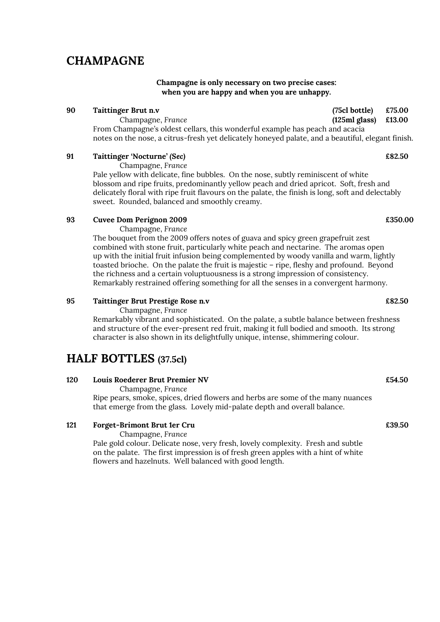## CHAMPAGNE

### Champagne is only necessary on two precise cases: when you are happy and when you are unhappy.

### 90 Taittinger Brut n.v (75cl bottle) £75.00

 Champagne, France (125ml glass) £13.00 From Champagne's oldest cellars, this wonderful example has peach and acacia notes on the nose, a citrus-fresh yet delicately honeyed palate, and a beautiful, elegant finish.

### 91 Taittinger 'Nocturne' (Sec) 682.50

Champagne, France

 Pale yellow with delicate, fine bubbles. On the nose, subtly reminiscent of white blossom and ripe fruits, predominantly yellow peach and dried apricot. Soft, fresh and delicately floral with ripe fruit flavours on the palate, the finish is long, soft and delectably sweet. Rounded, balanced and smoothly creamy.

### 93 Cuvee Dom Perignon 2009 **EXAMPLE 2009 EXAMPLE 2009 EXAMPLE 2009**

Champagne, France

 The bouquet from the 2009 offers notes of guava and spicy green grapefruit zest combined with stone fruit, particularly white peach and nectarine. The aromas open up with the initial fruit infusion being complemented by woody vanilla and warm, lightly toasted brioche. On the palate the fruit is majestic – ripe, fleshy and profound. Beyond the richness and a certain voluptuousness is a strong impression of consistency. Remarkably restrained offering something for all the senses in a convergent harmony.

### 95 Taittinger Brut Prestige Rose n.v **EXALL EXAMPLE 1998** E82.50

Champagne, France

 Remarkably vibrant and sophisticated. On the palate, a subtle balance between freshness and structure of the ever-present red fruit, making it full bodied and smooth. Its strong character is also shown in its delightfully unique, intense, shimmering colour.

## HALF BOTTLES (37.5cl)

### 120 Louis Roederer Brut Premier NV £54.50

Champagne, France

Ripe pears, smoke, spices, dried flowers and herbs are some of the many nuances that emerge from the glass. Lovely mid-palate depth and overall balance.

### 121 Forget-Brimont Brut 1er Cru **Example 19** and the control of the control of the control of the control of the control of the control of the control of the control of the control of the control of the control of the cont

Champagne, France

 Pale gold colour. Delicate nose, very fresh, lovely complexity. Fresh and subtle on the palate. The first impression is of fresh green apples with a hint of white flowers and hazelnuts. Well balanced with good length.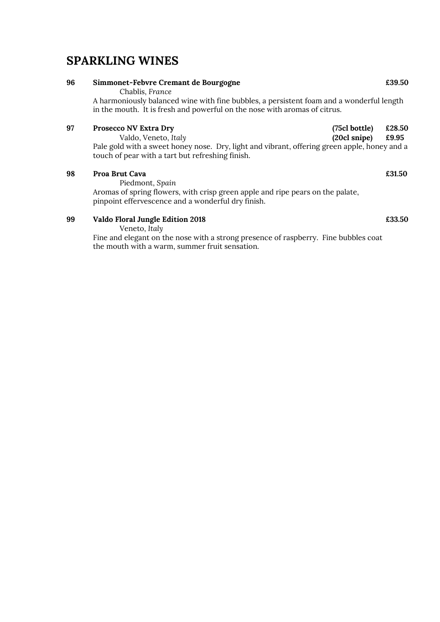## SPARKLING WINES

### 96 Simmonet-Febvre Cremant de Bourgogne **EXACTES** E39.50 Chablis, France A harmoniously balanced wine with fine bubbles, a persistent foam and a wonderful length in the mouth. It is fresh and powerful on the nose with aromas of citrus. 97 Prosecco NV Extra Dry (75cl bottle) £28.50 Valdo, Veneto, Italy (20cl snipe) £9.95 Pale gold with a sweet honey nose. Dry, light and vibrant, offering green apple, honey and a

98 Proa Brut Cava **E31.50** 

Piedmont, Spain

touch of pear with a tart but refreshing finish.

 Aromas of spring flowers, with crisp green apple and ripe pears on the palate, pinpoint effervescence and a wonderful dry finish.

### 99 Valdo Floral Jungle Edition 2018 **Example 10** E33.50

Veneto, Italy

 Fine and elegant on the nose with a strong presence of raspberry. Fine bubbles coat the mouth with a warm, summer fruit sensation.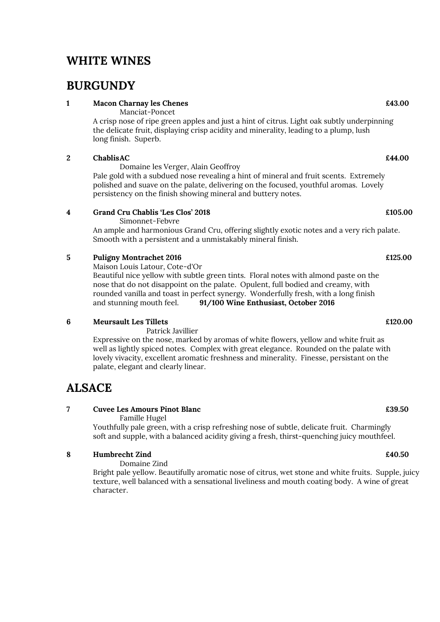## WHITE WINES

## **BURGUNDY**

### 1 Macon Charnay les Chenes **243.00** Equation 1 Macon Charnay les Chenes **E43.00**

Manciat-Poncet

 A crisp nose of ripe green apples and just a hint of citrus. Light oak subtly underpinning the delicate fruit, displaying crisp acidity and minerality, leading to a plump, lush long finish. Superb.

### 2 Chablis AC  $\epsilon$ 44.00

Domaine les Verger, Alain Geoffroy

 Pale gold with a subdued nose revealing a hint of mineral and fruit scents. Extremely polished and suave on the palate, delivering on the focused, youthful aromas. Lovely persistency on the finish showing mineral and buttery notes.

### 4 Grand Cru Chablis 'Les Clos' 2018 £105.00

Simonnet-Febvre

 An ample and harmonious Grand Cru, offering slightly exotic notes and a very rich palate. Smooth with a persistent and a unmistakably mineral finish.

### 5 Puligny Montrachet 2016 £125.00

 Maison Louis Latour, Cote-d'Or Beautiful nice yellow with subtle green tints. Floral notes with almond paste on the nose that do not disappoint on the palate. Opulent, full bodied and creamy, with rounded vanilla and toast in perfect synergy. Wonderfully fresh, with a long finish and stunning mouth feel. 91/100 Wine Enthusiast, October 2016

### 6 Meursault Les Tillets £120.00

Patrick Javillier

Expressive on the nose, marked by aromas of white flowers, yellow and white fruit as well as lightly spiced notes. Complex with great elegance. Rounded on the palate with lovely vivacity, excellent aromatic freshness and minerality. Finesse, persistant on the palate, elegant and clearly linear.

## **ALSACE**

### 7 Cuvee Les Amours Pinot Blanc **2006 EXAMPLE 2006 EXAMPLE 2006 EXAMPLE 2006**

Famille Hugel

 Youthfully pale green, with a crisp refreshing nose of subtle, delicate fruit. Charmingly soft and supple, with a balanced acidity giving a fresh, thirst-quenching juicy mouthfeel.

### $8$  Humbrecht Zind  $\epsilon$ 40.50

Domaine Zind

Bright pale yellow. Beautifully aromatic nose of citrus, wet stone and white fruits. Supple, juicy texture, well balanced with a sensational liveliness and mouth coating body. A wine of great character.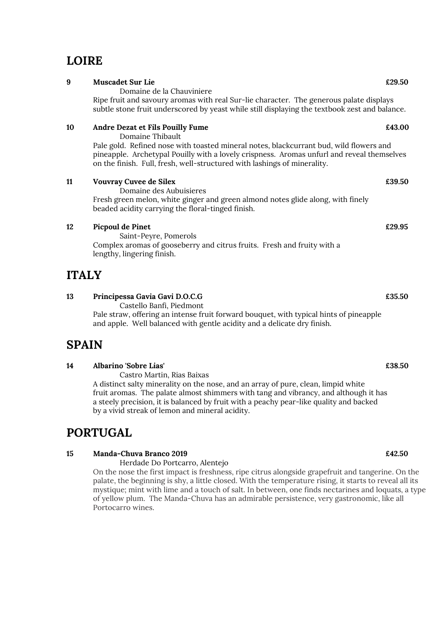## LOIRE

| 9  | <b>Muscadet Sur Lie</b>                                                                                                                                                              | £29.50 |
|----|--------------------------------------------------------------------------------------------------------------------------------------------------------------------------------------|--------|
|    | Domaine de la Chauviniere                                                                                                                                                            |        |
|    | Ripe fruit and savoury aromas with real Sur-lie character. The generous palate displays                                                                                              |        |
|    | subtle stone fruit underscored by yeast while still displaying the textbook zest and balance.                                                                                        |        |
| 10 | Andre Dezat et Fils Pouilly Fume                                                                                                                                                     | £43.00 |
|    | Domaine Thibault                                                                                                                                                                     |        |
|    | Pale gold. Refined nose with toasted mineral notes, blackcurrant bud, wild flowers and<br>pineapple. Archetypal Pouilly with a lovely crispness. Aromas unfurl and reveal themselves |        |
|    | on the finish. Full, fresh, well-structured with lashings of minerality.                                                                                                             |        |
| 11 | <b>Vouvray Cuvee de Silex</b>                                                                                                                                                        | £39.50 |
|    | Domaine des Aubuisieres                                                                                                                                                              |        |
|    | Fresh green melon, white ginger and green almond notes glide along, with finely                                                                                                      |        |
|    | beaded acidity carrying the floral-tinged finish.                                                                                                                                    |        |
| 12 | <b>Picpoul de Pinet</b>                                                                                                                                                              | £29.95 |
|    | Coint Down Domorola                                                                                                                                                                  |        |

 Saint-Peyre, Pomerols Complex aromas of gooseberry and citrus fruits. Fresh and fruity with a lengthy, lingering finish.

## ITALY

| Principessa Gavia Gavi D.O.C.G | £35.50 |
|--------------------------------|--------|
|                                |        |

Castello Banfi, Piedmont

 Pale straw, offering an intense fruit forward bouquet, with typical hints of pineapple and apple. Well balanced with gentle acidity and a delicate dry finish.

## SPAIN

### 14 Albarino 'Sobre Lias' £38.50

 Castro Martin, Rias Baixas A distinct salty minerality on the nose, and an array of pure, clean, limpid white fruit aromas. The palate almost shimmers with tang and vibrancy, and although it has a steely precision, it is balanced by fruit with a peachy pear-like quality and backed by a vivid streak of lemon and mineral acidity.

## PORTUGAL

### 15 Manda-Chuva Branco 2019 £42.50

Herdade Do Portcarro, Alentejo

On the nose the first impact is freshness, ripe citrus alongside grapefruit and tangerine. On the palate, the beginning is shy, a little closed. With the temperature rising, it starts to reveal all its mystique; mint with lime and a touch of salt. In between, one finds nectarines and loquats, a type of yellow plum. The Manda-Chuva has an admirable persistence, very gastronomic, like all Portocarro wines.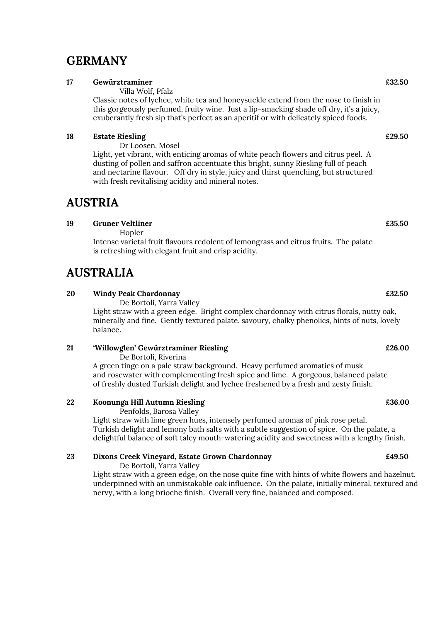## GERMANY

### 17 Gewürztraminer  $\epsilon$ 32.50

Villa Wolf, Pfalz

 Classic notes of lychee, white tea and honeysuckle extend from the nose to finish in this gorgeously perfumed, fruity wine. Just a lip-smacking shade off dry, it's a juicy, exuberantly fresh sip that's perfect as an aperitif or with delicately spiced foods.

### 18 Estate Riesling **Example 2008** Estate Riesling **Example 2008**

 Dr Loosen, Mosel Light, yet vibrant, with enticing aromas of white peach flowers and citrus peel. A dusting of pollen and saffron accentuate this bright, sunny Riesling full of peach and nectarine flavour. Off dry in style, juicy and thirst quenching, but structured with fresh revitalising acidity and mineral notes.

## AUSTRIA

### 19 Gruner Veltliner **Example 2018** Control of the Control of the Control of the Control of the Control of the Control of the Control of the Control of the Control of the Control of the Control of the Control of the Control

Hopler

 Intense varietal fruit flavours redolent of lemongrass and citrus fruits. The palate is refreshing with elegant fruit and crisp acidity.

## AUSTRALIA

### 20 Windy Peak Chardonnay £32.50

De Bortoli, Yarra Valley

 Light straw with a green edge. Bright complex chardonnay with citrus florals, nutty oak, minerally and fine. Gently textured palate, savoury, chalky phenolics, hints of nuts, lovely balance.

### 21 'Willowglen' Gewürztraminer Riesling £26.00

De Bortoli, Riverina

 A green tinge on a pale straw background. Heavy perfumed aromatics of musk and rosewater with complementing fresh spice and lime. A gorgeous, balanced palate of freshly dusted Turkish delight and lychee freshened by a fresh and zesty finish.

### 22 Koonunga Hill Autumn Riesling £36.00

Penfolds, Barosa Valley

 Light straw with lime green hues, intensely perfumed aromas of pink rose petal, Turkish delight and lemony bath salts with a subtle suggestion of spice. On the palate, a delightful balance of soft talcy mouth-watering acidity and sweetness with a lengthy finish.

### 23 Dixons Creek Vineyard, Estate Grown Chardonnay £49.50

De Bortoli, Yarra Valley

 Light straw with a green edge, on the nose quite fine with hints of white flowers and hazelnut, underpinned with an unmistakable oak influence. On the palate, initially mineral, textured and nervy, with a long brioche finish. Overall very fine, balanced and composed.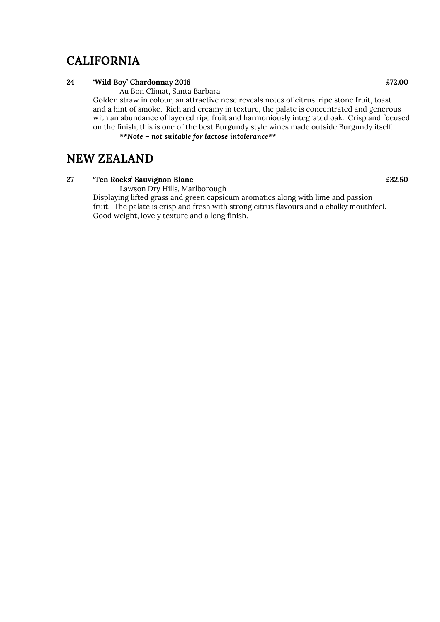## **CALIFORNIA**

### 24 'Wild Boy' Chardonnay 2016 **EXAMPLE 2016** EXAMPLE 2016

Au Bon Climat, Santa Barbara

 Golden straw in colour, an attractive nose reveals notes of citrus, ripe stone fruit, toast and a hint of smoke. Rich and creamy in texture, the palate is concentrated and generous with an abundance of layered ripe fruit and harmoniously integrated oak. Crisp and focused on the finish, this is one of the best Burgundy style wines made outside Burgundy itself.

### \*\*Note – not suitable for lactose intolerance\*\*

## NEW ZEALAND

### 27 Ten Rocks' Sauvignon Blanc **EXALLES** 2008 27 Ten Rocks' Sauvignon Blanc

Lawson Dry Hills, Marlborough

 Displaying lifted grass and green capsicum aromatics along with lime and passion fruit. The palate is crisp and fresh with strong citrus flavours and a chalky mouthfeel. Good weight, lovely texture and a long finish.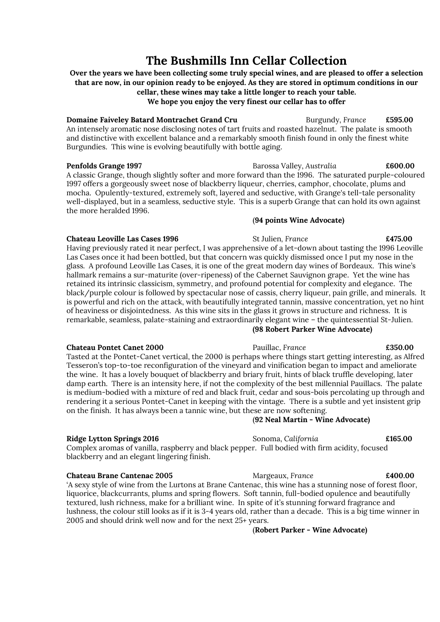## The Bushmills Inn Cellar Collection

Over the years we have been collecting some truly special wines, and are pleased to offer a selection that are now, in our opinion ready to be enjoyed. As they are stored in optimum conditions in our cellar, these wines may take a little longer to reach your table.

We hope you enjoy the very finest our cellar has to offer

**Domaine Faiveley Batard Montrachet Grand Cru** Burgundy, France £595.00 An intensely aromatic nose disclosing notes of tart fruits and roasted hazelnut. The palate is smooth and distinctive with excellent balance and a remarkably smooth finish found in only the finest white Burgundies. This wine is evolving beautifully with bottle aging.

Penfolds Grange 1997 **Barossa Valley, Australia** 600.00 A classic Grange, though slightly softer and more forward than the 1996. The saturated purple-coloured 1997 offers a gorgeously sweet nose of blackberry liqueur, cherries, camphor, chocolate, plums and mocha. Opulently-textured, extremely soft, layered and seductive, with Grange's tell-tale personality well-displayed, but in a seamless, seductive style. This is a superb Grange that can hold its own against the more heralded 1996.

### (94 points Wine Advocate)

### Chateau Leoville Las Cases 1996 St Julien, France E475.00

Having previously rated it near perfect, I was apprehensive of a let-down about tasting the 1996 Leoville Las Cases once it had been bottled, but that concern was quickly dismissed once I put my nose in the glass. A profound Leoville Las Cases, it is one of the great modern day wines of Bordeaux. This wine's hallmark remains a sur-maturite (over-ripeness) of the Cabernet Sauvignon grape. Yet the wine has retained its intrinsic classicism, symmetry, and profound potential for complexity and elegance. The black/purple colour is followed by spectacular nose of cassis, cherry liqueur, pain grille, and minerals. It is powerful and rich on the attack, with beautifully integrated tannin, massive concentration, yet no hint of heaviness or disjointedness. As this wine sits in the glass it grows in structure and richness. It is remarkable, seamless, palate-staining and extraordinarily elegant wine – the quintessential St-Julien. (98 Robert Parker Wine Advocate)

### Chateau Pontet Canet 2000 Pauillac, France £350.00

Tasted at the Pontet-Canet vertical, the 2000 is perhaps where things start getting interesting, as Alfred Tesseron's top-to-toe reconfiguration of the vineyard and vinification began to impact and ameliorate the wine. It has a lovely bouquet of blackberry and briary fruit, hints of black truffle developing, later damp earth. There is an intensity here, if not the complexity of the best millennial Pauillacs. The palate is medium-bodied with a mixture of red and black fruit, cedar and sous-bois percolating up through and rendering it a serious Pontet-Canet in keeping with the vintage. There is a subtle and yet insistent grip on the finish. It has always been a tannic wine, but these are now softening.

### (92 Neal Martin - Wine Advocate)

### Ridge Lytton Springs 2016 **Sonoma, California E165.00** Sonoma, California **E165.00**

Complex aromas of vanilla, raspberry and black pepper. Full bodied with firm acidity, focused blackberry and an elegant lingering finish.

Chateau Brane Cantenac 2005 Margeaux, France £400.00 'A sexy style of wine from the Lurtons at Brane Cantenac, this wine has a stunning nose of forest floor, liquorice, blackcurrants, plums and spring flowers. Soft tannin, full-bodied opulence and beautifully textured, lush richness, make for a brilliant wine. In spite of it's stunning forward fragrance and lushness, the colour still looks as if it is 3-4 years old, rather than a decade. This is a big time winner in 2005 and should drink well now and for the next 25+ years.

(Robert Parker - Wine Advocate)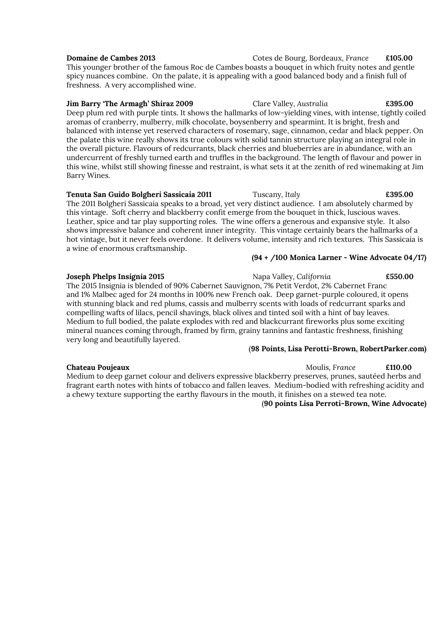| <b>Domaine de Cambes 2013</b>                                                                        | Cotes de Bourg, Bordeaux, France | £105.00 |
|------------------------------------------------------------------------------------------------------|----------------------------------|---------|
| This younger brother of the famous Roc de Cambes boasts a bouquet in which fruity notes and gentle   |                                  |         |
| spicy nuances combine. On the palate, it is appealing with a good balanced body and a finish full of |                                  |         |
| freshness. A very accomplished wine.                                                                 |                                  |         |
|                                                                                                      |                                  |         |

### Jim Barry 'The Armagh' Shiraz 2009 Clare Valley, Australia **£395.00**

Deep plum red with purple tints. It shows the hallmarks of low-yielding vines, with intense, tightly coiled aromas of cranberry, mulberry, milk chocolate, boysenberry and spearmint. It is bright, fresh and balanced with intense yet reserved characters of rosemary, sage, cinnamon, cedar and black pepper. On the palate this wine really shows its true colours with solid tannin structure playing an integral role in the overall picture. Flavours of redcurrants, black cherries and blueberries are in abundance, with an undercurrent of freshly turned earth and truffles in the background. The length of flavour and power in this wine, whilst still showing finesse and restraint, is what sets it at the zenith of red winemaking at Jim Barry Wines.

### Tenuta San Guido Bolgheri Sassicaia 2011 Tuscany, Italy £395.00

The 2011 Bolgheri Sassicaia speaks to a broad, yet very distinct audience. I am absolutely charmed by this vintage. Soft cherry and blackberry confit emerge from the bouquet in thick, luscious waves. Leather, spice and tar play supporting roles. The wine offers a generous and expansive style. It also shows impressive balance and coherent inner integrity. This vintage certainly bears the hallmarks of a hot vintage, but it never feels overdone. It delivers volume, intensity and rich textures. This Sassicaia is a wine of enormous craftsmanship.

### (94 + /100 Monica Larner - Wine Advocate 04/17)

### Joseph Phelps Insignia 2015 Napa Valley, California **£550.00** Napa Valley, California

The 2015 Insignia is blended of 90% Cabernet Sauvignon, 7% Petit Verdot, 2% Cabernet Franc and 1% Malbec aged for 24 months in 100% new French oak. Deep garnet-purple coloured, it opens with stunning black and red plums, cassis and mulberry scents with loads of redcurrant sparks and compelling wafts of lilacs, pencil shavings, black olives and tinted soil with a hint of bay leaves. Medium to full bodied, the palate explodes with red and blackcurrant fireworks plus some exciting mineral nuances coming through, framed by firm, grainy tannins and fantastic freshness, finishing very long and beautifully layered.

### (98 Points, Lisa Perotti-Brown, RobertParker.com)

### **Chateau Poujeaux Chateau Poujeaux Chateau Poujeaux E110.00**

Medium to deep garnet colour and delivers expressive blackberry preserves, prunes, sautéed herbs and fragrant earth notes with hints of tobacco and fallen leaves. Medium-bodied with refreshing acidity and a chewy texture supporting the earthy flavours in the mouth, it finishes on a stewed tea note.

### (90 points Lisa Perroti-Brown, Wine Advocate)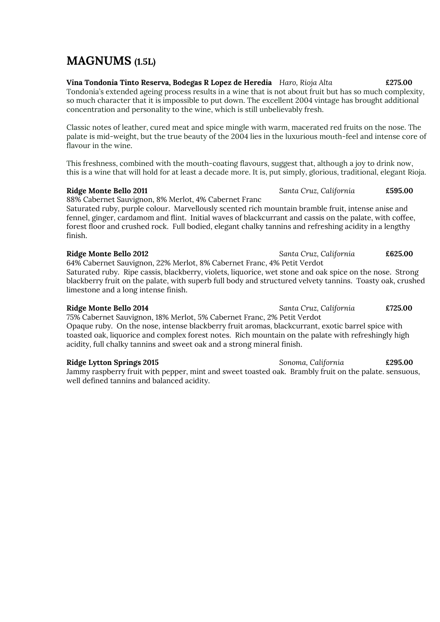## MAGNUMS (1.5L)

Vina Tondonia Tinto Reserva, Bodegas R Lopez de Heredia Haro, Rioja Alta £275.00 Tondonia's extended ageing process results in a wine that is not about fruit but has so much complexity, so much character that it is impossible to put down. The excellent 2004 vintage has brought additional concentration and personality to the wine, which is still unbelievably fresh.

Classic notes of leather, cured meat and spice mingle with warm, macerated red fruits on the nose. The palate is mid-weight, but the true beauty of the 2004 lies in the luxurious mouth-feel and intense core of flavour in the wine.

This freshness, combined with the mouth-coating flavours, suggest that, although a joy to drink now, this is a wine that will hold for at least a decade more. It is, put simply, glorious, traditional, elegant Rioja.

### Ridge Monte Bello 2011 Santa Cruz, California £595.00

88% Cabernet Sauvignon, 8% Merlot, 4% Cabernet Franc

Saturated ruby, purple colour. Marvellously scented rich mountain bramble fruit, intense anise and fennel, ginger, cardamom and flint. Initial waves of blackcurrant and cassis on the palate, with coffee, forest floor and crushed rock. Full bodied, elegant chalky tannins and refreshing acidity in a lengthy finish.

### Ridge Monte Bello 2012 **Santa Cruz, California**  $\overline{\phantom{0}}$  £625.00

64% Cabernet Sauvignon, 22% Merlot, 8% Cabernet Franc, 4% Petit Verdot Saturated ruby. Ripe cassis, blackberry, violets, liquorice, wet stone and oak spice on the nose. Strong blackberry fruit on the palate, with superb full body and structured velvety tannins. Toasty oak, crushed limestone and a long intense finish.

### Ridge Monte Bello 2014 **Santa Cruz, California**  $\epsilon$ 725.00

75% Cabernet Sauvignon, 18% Merlot, 5% Cabernet Franc, 2% Petit Verdot Opaque ruby. On the nose, intense blackberry fruit aromas, blackcurrant, exotic barrel spice with toasted oak, liquorice and complex forest notes. Rich mountain on the palate with refreshingly high acidity, full chalky tannins and sweet oak and a strong mineral finish.

### Ridge Lytton Springs 2015 **Sonoma**, California **E295.00** Sonoma, California **E295.00**

Jammy raspberry fruit with pepper, mint and sweet toasted oak. Brambly fruit on the palate. sensuous, well defined tannins and balanced acidity.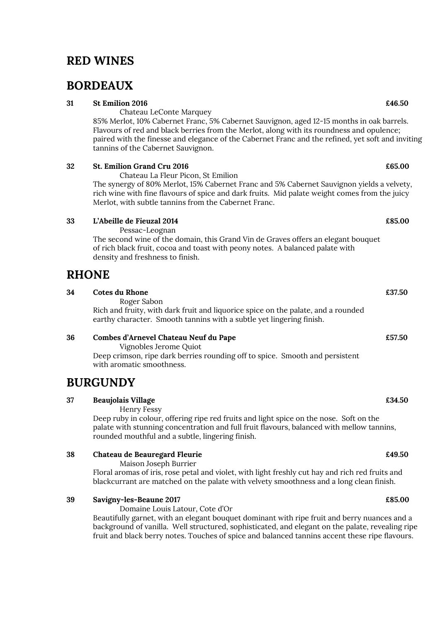## RED WINES

## BORDEAUX

### $31$  St Emilion 2016  $\epsilon$ 46.50

 Chateau LeConte Marquey 85% Merlot, 10% Cabernet Franc, 5% Cabernet Sauvignon, aged 12-15 months in oak barrels. Flavours of red and black berries from the Merlot, along with its roundness and opulence; paired with the finesse and elegance of the Cabernet Franc and the refined, yet soft and inviting tannins of the Cabernet Sauvignon.

### $32$  St. Emilion Grand Cru 2016  $\epsilon$ 65.00

Chateau La Fleur Picon, St Emilion

The synergy of 80% Merlot, 15% Cabernet Franc and 5% Cabernet Sauvignon yields a velvety, rich wine with fine flavours of spice and dark fruits. Mid palate weight comes from the juicy Merlot, with subtle tannins from the Cabernet Franc.

### 33 L'Abeille de Fieuzal 2014 £85.00

Pessac-Leognan

The second wine of the domain, this Grand Vin de Graves offers an elegant bouquet of rich black fruit, cocoa and toast with peony notes. A balanced palate with density and freshness to finish.

## RHONE

| Cotes du Rhone                                                                    | £37.50 |
|-----------------------------------------------------------------------------------|--------|
| Roger Sabon                                                                       |        |
| Rich and fruity, with dark fruit and liquorice spice on the palate, and a rounded |        |
| earthy character. Smooth tannins with a subtle yet lingering finish.              |        |
|                                                                                   |        |

### 36 Combes d'Arnevel Chateau Neuf du Pape £57.50

Vignobles Jerome Quiot

 Deep crimson, ripe dark berries rounding off to spice. Smooth and persistent with aromatic smoothness.

## BURGUNDY

### 37 Beaujolais Village **E34.50**

Henry Fessy

 Deep ruby in colour, offering ripe red fruits and light spice on the nose. Soft on the palate with stunning concentration and full fruit flavours, balanced with mellow tannins, rounded mouthful and a subtle, lingering finish.

### 38 Chateau de Beauregard Fleurie **2006** Chateau de Beauregard Fleurie **2006**

Maison Joseph Burrier

Floral aromas of iris, rose petal and violet, with light freshly cut hay and rich red fruits and blackcurrant are matched on the palate with velvety smoothness and a long clean finish.

### 39 Savigny-les-Beaune 2017 **Example 2017** 2018 2017

Domaine Louis Latour, Cote d'Or

Beautifully garnet, with an elegant bouquet dominant with ripe fruit and berry nuances and a background of vanilla. Well structured, sophisticated, and elegant on the palate, revealing ripe fruit and black berry notes. Touches of spice and balanced tannins accent these ripe flavours.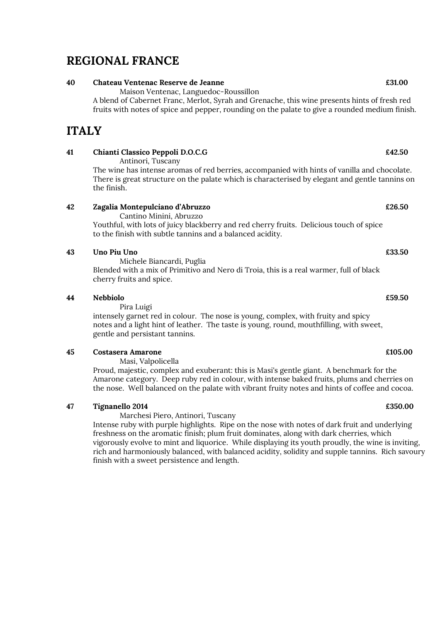## REGIONAL FRANCE

### 40 Chateau Ventenac Reserve de Jeanne £31.00

Maison Ventenac, Languedoc-Roussillon

A blend of Cabernet Franc, Merlot, Syrah and Grenache, this wine presents hints of fresh red fruits with notes of spice and pepper, rounding on the palate to give a rounded medium finish.

## ITALY

### 41 Chianti Classico Peppoli D.O.C.G **E42.50**

Antinori, Tuscany

The wine has intense aromas of red berries, accompanied with hints of vanilla and chocolate. There is great structure on the palate which is characterised by elegant and gentle tannins on the finish.

### 42 Zagalia Montepulciano d'Abruzzo £26.50

Cantino Minini, Abruzzo

 Youthful, with lots of juicy blackberry and red cherry fruits. Delicious touch of spice to the finish with subtle tannins and a balanced acidity.

### 43 Uno Piu Uno  $\epsilon$ 33.50

 Michele Biancardi, Puglia Blended with a mix of Primitivo and Nero di Troia, this is a real warmer, full of black cherry fruits and spice.

### 44 Nebbiolo £59.50

Pira Luigi

 intensely garnet red in colour. The nose is young, complex, with fruity and spicy notes and a light hint of leather. The taste is young, round, mouthfilling, with sweet, gentle and persistant tannins.

### 45 Costasera Amarone £105.00

Masi, Valpolicella

Proud, majestic, complex and exuberant: this is Masi's gentle giant. A benchmark for the Amarone category. Deep ruby red in colour, with intense baked fruits, plums and cherries on the nose. Well balanced on the palate with vibrant fruity notes and hints of coffee and cocoa.

### 47 Tignanello 2014 £350.00

Marchesi Piero, Antinori, Tuscany

 Intense ruby with purple highlights. Ripe on the nose with notes of dark fruit and underlying freshness on the aromatic finish; plum fruit dominates, along with dark cherries, which vigorously evolve to mint and liquorice. While displaying its youth proudly, the wine is inviting, rich and harmoniously balanced, with balanced acidity, solidity and supple tannins. Rich savoury finish with a sweet persistence and length.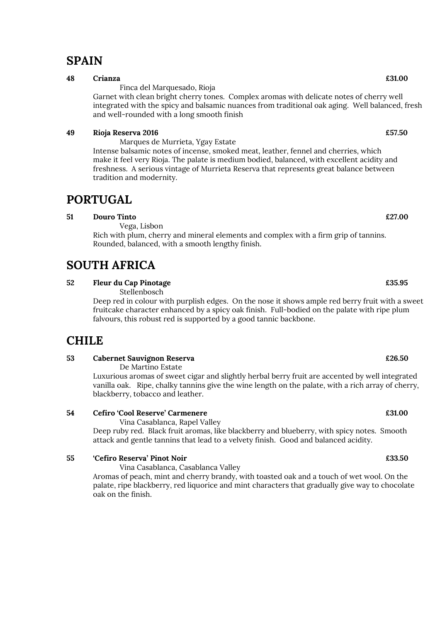## **SPAIN**

### 48 Crianza  $\epsilon$ 31.00

Finca del Marquesado, Rioja

Garnet with clean bright cherry tones. Complex aromas with delicate notes of cherry well integrated with the spicy and balsamic nuances from traditional oak aging. Well balanced, fresh and well-rounded with a long smooth finish

### 49 Rioja Reserva 2016 **EST.50**

 Marques de Murrieta, Ygay Estate Intense balsamic notes of incense, smoked meat, leather, fennel and cherries, which make it feel very Rioja. The palate is medium bodied, balanced, with excellent acidity and freshness. A serious vintage of Murrieta Reserva that represents great balance between tradition and modernity.

## PORTUGAL

### 51 Douro Tinto £27.00

Vega, Lisbon

Rich with plum, cherry and mineral elements and complex with a firm grip of tannins. Rounded, balanced, with a smooth lengthy finish.

## SOUTH AFRICA

### 52 Fleur du Cap Pinotage **E35.95**

Stellenbosch

Deep red in colour with purplish edges. On the nose it shows ample red berry fruit with a sweet fruitcake character enhanced by a spicy oak finish. Full-bodied on the palate with ripe plum falvours, this robust red is supported by a good tannic backbone.

## **CHILE**

### 53 Cabernet Sauvignon Reserva £26.50

De Martino Estate

Luxurious aromas of sweet cigar and slightly herbal berry fruit are accented by well integrated vanilla oak. Ripe, chalky tannins give the wine length on the palate, with a rich array of cherry, blackberry, tobacco and leather.

### 54 Cefiro 'Cool Reserve' Carmenere £31.00

Vina Casablanca, Rapel Valley

Deep ruby red. Black fruit aromas, like blackberry and blueberry, with spicy notes. Smooth attack and gentle tannins that lead to a velvety finish. Good and balanced acidity.

### 55 'Cefiro Reserva' Pinot Noir £33.50

Vina Casablanca, Casablanca Valley

Aromas of peach, mint and cherry brandy, with toasted oak and a touch of wet wool. On the palate, ripe blackberry, red liquorice and mint characters that gradually give way to chocolate oak on the finish.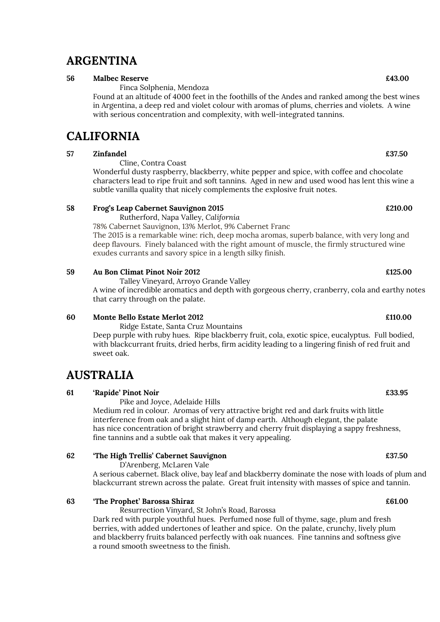## ARGENTINA

### 56 Malbec Reserve **E43.00**

Finca Solphenia, Mendoza

Found at an altitude of 4000 feet in the foothills of the Andes and ranked among the best wines in Argentina, a deep red and violet colour with aromas of plums, cherries and violets. A wine with serious concentration and complexity, with well-integrated tannins.

## **CALIFORNIA**

### $57$  Zinfandel  $\epsilon$ 37.50

Cline, Contra Coast

Wonderful dusty raspberry, blackberry, white pepper and spice, with coffee and chocolate characters lead to ripe fruit and soft tannins. Aged in new and used wood has lent this wine a subtle vanilla quality that nicely complements the explosive fruit notes.

### 58 Frog's Leap Cabernet Sauvignon 2015 £210.00

Rutherford, Napa Valley, California

78% Cabernet Sauvignon, 13% Merlot, 9% Cabernet Franc

The 2015 is a remarkable wine: rich, deep mocha aromas, superb balance, with very long and deep flavours. Finely balanced with the right amount of muscle, the firmly structured wine exudes currants and savory spice in a length silky finish.

### 59 Au Bon Climat Pinot Noir 2012 £125.00

Talley Vineyard, Arroyo Grande Valley

A wine of incredible aromatics and depth with gorgeous cherry, cranberry, cola and earthy notes that carry through on the palate.

### 60 Monte Bello Estate Merlot 2012 £110.00

 Ridge Estate, Santa Cruz Mountains Deep purple with ruby hues. Ripe blackberry fruit, cola, exotic spice, eucalyptus. Full bodied, with blackcurrant fruits, dried herbs, firm acidity leading to a lingering finish of red fruit and sweet oak.

## AUSTRALIA

### 61 'Rapide' Pinot Noir **£33.95**

Pike and Joyce, Adelaide Hills

Medium red in colour. Aromas of very attractive bright red and dark fruits with little interference from oak and a slight hint of damp earth. Although elegant, the palate has nice concentration of bright strawberry and cherry fruit displaying a sappy freshness, fine tannins and a subtle oak that makes it very appealing.

### 62 The High Trellis' Cabernet Sauvignon **EXALL EXACTS** E37.50

D'Arenberg, McLaren Vale

 A serious cabernet. Black olive, bay leaf and blackberry dominate the nose with loads of plum and blackcurrant strewn across the palate. Great fruit intensity with masses of spice and tannin.

### 63 The Prophet' Barossa Shiraz **E61.00**

Resurrection Vinyard, St John's Road, Barossa

 Dark red with purple youthful hues. Perfumed nose full of thyme, sage, plum and fresh berries, with added undertones of leather and spice. On the palate, crunchy, lively plum and blackberry fruits balanced perfectly with oak nuances. Fine tannins and softness give a round smooth sweetness to the finish.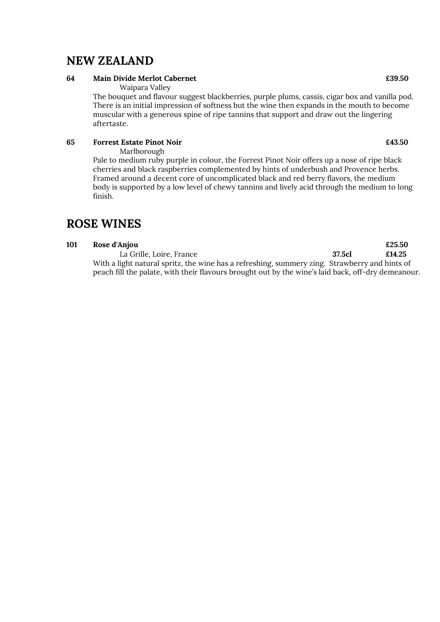## NEW ZEALAND

### 64 Main Divide Merlot Cabernet **2006** 2006 2012 12:39:50

Waipara Valley

The bouquet and flavour suggest blackberries, purple plums, cassis, cigar box and vanilla pod. There is an initial impression of softness but the wine then expands in the mouth to become muscular with a generous spine of ripe tannins that support and draw out the lingering aftertaste.

### 65 Forrest Estate Pinot Noir **Equation 1** Equation 1 Associate Pinot Noir

Marlborough

Pale to medium ruby purple in colour, the Forrest Pinot Noir offers up a nose of ripe black cherries and black raspberries complemented by hints of underbush and Provence herbs. Framed around a decent core of uncomplicated black and red berry flavors, the medium body is supported by a low level of chewy tannins and lively acid through the medium to long finish.

## ROSE WINES

### 101 Rose d'Anjou **El participal de la commune de la commune de la commune de la commune de la commune de la commune de la commune de la commune de la commune de la commune de la commune de la commune de la commune de la co**

La Grille, Loire, France 37.5cl £14.25 With a light natural spritz, the wine has a refreshing, summery zing. Strawberry and hints of peach fill the palate, with their flavours brought out by the wine's laid back, off-dry demeanour.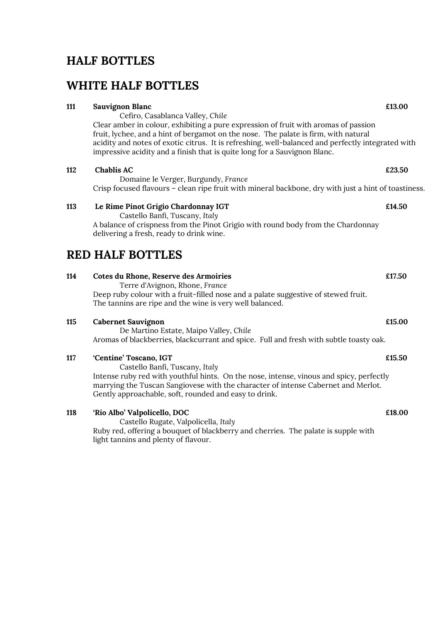## HALF BOTTLES

## WHITE HALF BOTTLES

## Clear amber in colour, exhibiting a pure expression of fruit with aromas of passion fruit, lychee, and a hint of bergamot on the nose. The palate is firm, with natural acidity and notes of exotic citrus. It is refreshing, well-balanced and perfectly integrated with impressive acidity and a finish that is quite long for a Sauvignon Blanc. 112 Chablis AC  $\epsilon$  23.50 Domaine le Verger, Burgundy, France 113 Le Rime Pinot Grigio Chardonnay IGT **2006** 2014.50 Castello Banfi, Tuscany, Italy A balance of crispness from the Pinot Grigio with round body from the Chardonnay delivering a fresh, ready to drink wine. 114 Cotes du Rhone, Reserve des Armoiries £17.50 Terre d'Avignon, Rhone, France Deep ruby colour with a fruit-filled nose and a palate suggestive of stewed fruit. The tannins are ripe and the wine is very well balanced. 115 Cabernet Sauvignon **2006** Cabernet Sauvignon **2006** Cabernet Sauvignon **2006** Cabernet Sauvignon **2006** Cabernet Sauvignon **2006** Cabernet Sauvignon **2006** Cabernet Sauvignon **2006** Cabernet Sauvignon **2006** Cabernet S

 De Martino Estate, Maipo Valley, Chile Aromas of blackberries, blackcurrant and spice. Full and fresh with subtle toasty oak.

### 117 Centine' Toscano, IGT 2002 2003 2004 2012 2020 2030 2041 205.50

 Castello Banfi, Tuscany, Italy Intense ruby red with youthful hints. On the nose, intense, vinous and spicy, perfectly marrying the Tuscan Sangiovese with the character of intense Cabernet and Merlot. Gently approachable, soft, rounded and easy to drink.

118 'Rio Albo' Valpolicello, DOC £18.00 Castello Rugate, Valpolicella, Italy Ruby red, offering a bouquet of blackberry and cherries. The palate is supple with light tannins and plenty of flavour.

Crisp focused flavours – clean ripe fruit with mineral backbone, dry with just a hint of toastiness.

## RED HALF BOTTLES

## 111 Sauvignon Blanc **£13.00**

Cefiro, Casablanca Valley, Chile